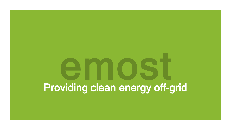# Providing clean energy off-grid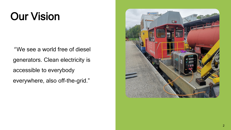## Our Vision

" We see a world free of diesel generators. Clean electricity is accessible to everybody everywhere, also off-the-grid."

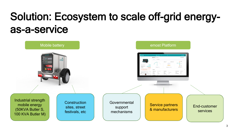## Solution: Ecosystem to scale off-grid energyas-a-service

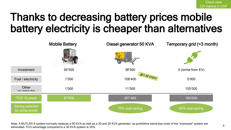### Thanks to decreasing battery prices mobile battery electricity is cheaper than alternatives



Note: A BUTLER S system normally replaces a 50 KVA as well as a 30 and 20 KVA generator, as prohibitive stand-bye costs of the "oversized" system are eliminated. TCO advantage compared to a 30 KVA system is 35%.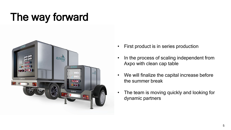## The way forward



- First product is in series production
- In the process of scaling independent from Axpo with clean cap table
- We will finalize the capital increase before the summer break
- The team is moving quickly and looking for dynamic partners